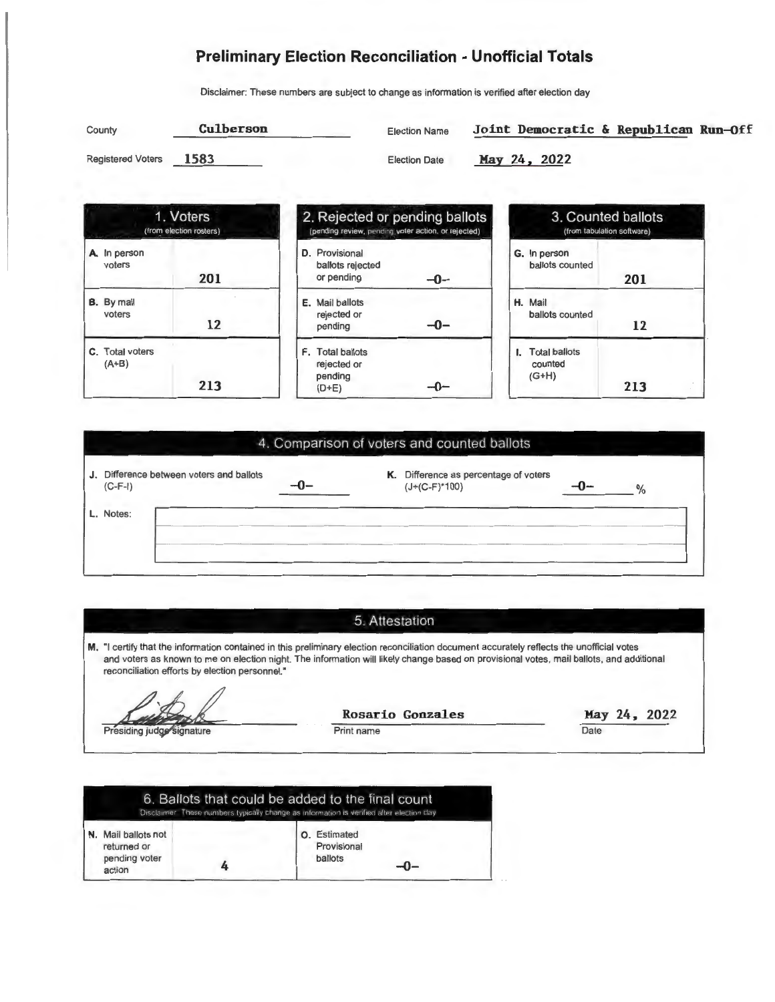#### **Preliminary Election Reconciliation - Unofficial Totals**

Disclaimer: These numbers are subject to change as information is verified after election day

| County                   | Culberson | <b>Election Name</b> | Joint Democratic & Republican Run-Off |
|--------------------------|-----------|----------------------|---------------------------------------|
| <b>Registered Voters</b> | 1583      | <b>Election Date</b> | May 24, 2022                          |





| 3. Counted ballots<br>(from tabulation software) |     |  |
|--------------------------------------------------|-----|--|
| G. In person<br>ballots counted                  |     |  |
|                                                  | 201 |  |
| H. Mail<br>ballots counted                       |     |  |
|                                                  | 12  |  |
| <b>Total ballots</b><br>counted                  |     |  |
| $(G+H)$                                          | 213 |  |

#### 4. Comparison of voters and counted ballots

| J. Difference between voters and ballots<br>$(C-F-I)$ | K. Difference as percentage of voters<br>$(J+(C-F)*100)$ |  |
|-------------------------------------------------------|----------------------------------------------------------|--|
| L. Notes:                                             |                                                          |  |
|                                                       |                                                          |  |

#### 5. Attestation

**M.** "I certify that the information contained in this preliminary election reconciliation document accurately reflects the unofficial votes and voters as known to me on election night. The information will likely change based on provisional votes, mail ballots, and additional reconciliation efforts by election personnel."

Presiding judge signature

**Rosario Gonzales** 

Print name

**Hay 24, 2022 Date** 

|                                                               | 6. Ballots that could be added to the final count<br>Disclaimer. These numbers typically change as information is verified after election day |
|---------------------------------------------------------------|-----------------------------------------------------------------------------------------------------------------------------------------------|
| N. Mail ballots not<br>returned or<br>pending voter<br>action | Estimated<br>$\Omega$<br>Provisional<br>ballots<br>-Ո-                                                                                        |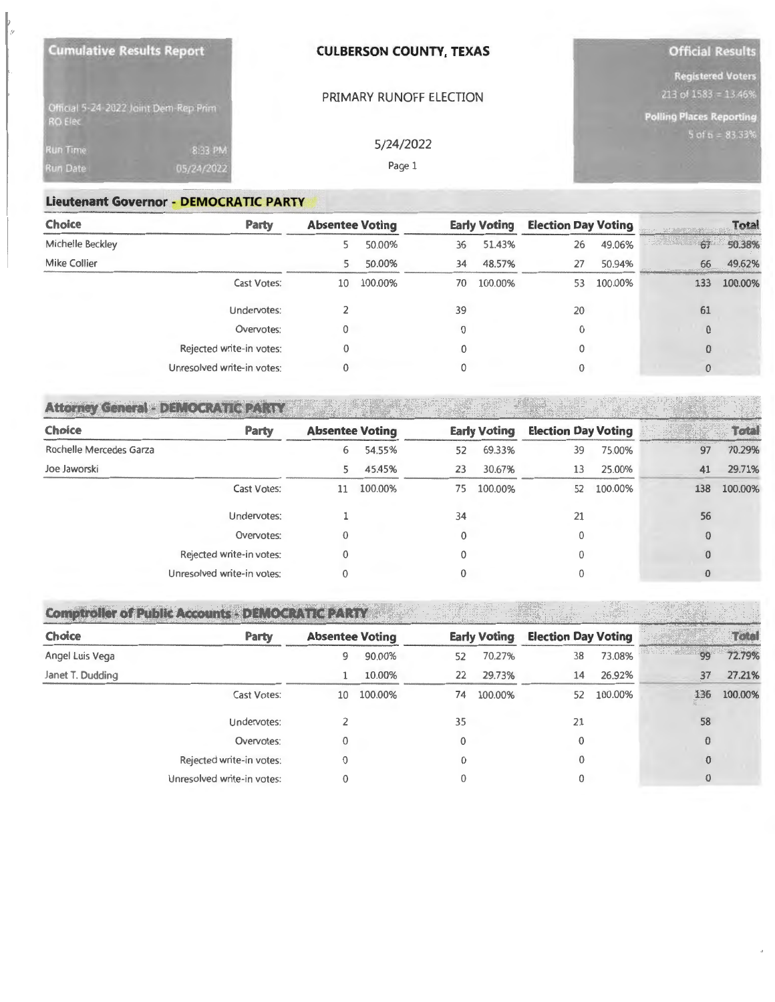| <b>Cumulative Results Report</b>  |                                       | <b>CULBERSON COUNTY, TEXAS</b> | <b>Official Results</b>                                                             |
|-----------------------------------|---------------------------------------|--------------------------------|-------------------------------------------------------------------------------------|
|                                   | Official 5-24-2022 Joint Dem-Rep Prim | PRIMARY RUNOFF ELECTION        | <b>Registered Voters</b><br>213 of 1583 = 13.46%<br><b>Polling Places Reporting</b> |
| <b>RO Elec</b><br><b>Run Time</b> | 8:33 PM                               | 5/24/2022                      | $5$ of $6 = 83.33%$                                                                 |
| <b>Run Date</b>                   | 05/24/2022                            | Page 1                         |                                                                                     |

#### **Lieutenant Governor - DEMOCRATIC PARTY**

| <b>Choice</b>       | <b>Party</b>               | <b>Absentee Voting</b> |         |    | <b>Early Voting</b> |    | <b>Election Day Voting</b> |                          | <b>Total</b> |  |
|---------------------|----------------------------|------------------------|---------|----|---------------------|----|----------------------------|--------------------------|--------------|--|
| Michelle Beckley    |                            |                        | 50.00%  | 36 | 51.43%              | 26 | 49.06%                     | $\rightarrow$ 25%<br>-67 | 50.38%       |  |
| <b>Mike Collier</b> |                            |                        | 50.00%  | 34 | 48.57%              | 27 | 50.94%                     | 66                       | 49.62%       |  |
|                     | Cast Votes:                | 10                     | 100.00% | 70 | 100.00%             | 53 | 100.00%                    | 133                      | 100.00%      |  |
|                     | Undervotes:                |                        |         | 39 |                     | 20 |                            | 61                       |              |  |
|                     | Overvotes:                 | 0                      |         | 0  |                     | 0  |                            | $\theta$                 |              |  |
|                     | Rejected write-in votes:   | 0                      |         | 0  |                     | 0  |                            | $\theta$                 |              |  |
|                     | Unresolved write-in votes: | 0                      |         | 0  |                     | 0  |                            | $\bf{0}$                 |              |  |

#### **Attorney General - DEMOCRATIC PARTY**

| <b>Choice</b><br><b>Party</b> | <b>Absentee Voting</b> |         |    | <b>Early Voting</b> | <b>Election Day Voting</b> |            |     | $\overline{\mathbf{O}}$ |
|-------------------------------|------------------------|---------|----|---------------------|----------------------------|------------|-----|-------------------------|
| Rochelle Mercedes Garza       | 6                      | 54.55%  | 52 | 69.33%              | 39                         | 75.00%     | 97  | 70.29%                  |
| Joe Jaworski                  | 5.                     | 45.45%  | 23 | 30.67%              | 13                         | 25.00%     | 41  | 29.71%                  |
| Cast Votes:                   | 11                     | 100.00% | 75 | 100.00%             |                            | 52 100.00% | 138 | 100.00%                 |
| Undervotes:                   |                        |         | 34 |                     | 21                         |            | 56  |                         |
| Overvotes:                    |                        |         |    |                     |                            |            |     |                         |
| Rejected write-in votes:      |                        |         |    |                     |                            |            |     |                         |
| Unresolved write-in votes:    |                        |         |    |                     |                            |            |     |                         |

18

## **Comptroller of Public Accounts - DEMOCRATIC PARTY**

| <b>Choice</b>    | <b>Party</b>               | <b>Absentee Voting</b> |         |    | <b>Early Voting</b> | <b>Election Day Voting</b> |         | I was allowed the top of the a think on a long | Total   |
|------------------|----------------------------|------------------------|---------|----|---------------------|----------------------------|---------|------------------------------------------------|---------|
| Angel Luis Vega  |                            | 9                      | 90.00%  | 52 | 70.27%              | 38                         | 73.08%  | in the Land<br>99                              | 72.79%  |
| Janet T. Dudding |                            |                        | 10.00%  | 22 | 29.73%              | 14                         | 26.92%  | 37                                             | 27.21%  |
|                  | Cast Votes:                | 10                     | 100.00% | 74 | 100.00%             | 52                         | 100.00% | 136                                            | 100.00% |
|                  | Undervotes:                |                        |         | 35 |                     | 21                         |         | 58                                             |         |
|                  | Overvotes:                 |                        |         |    |                     | 0                          |         | $\theta$                                       |         |
|                  | Rejected write-in votes:   | 0                      |         |    |                     | 0                          |         | $\mathbf{0}$                                   |         |
|                  | Unresolved write-in votes: |                        |         |    |                     |                            |         | 0                                              |         |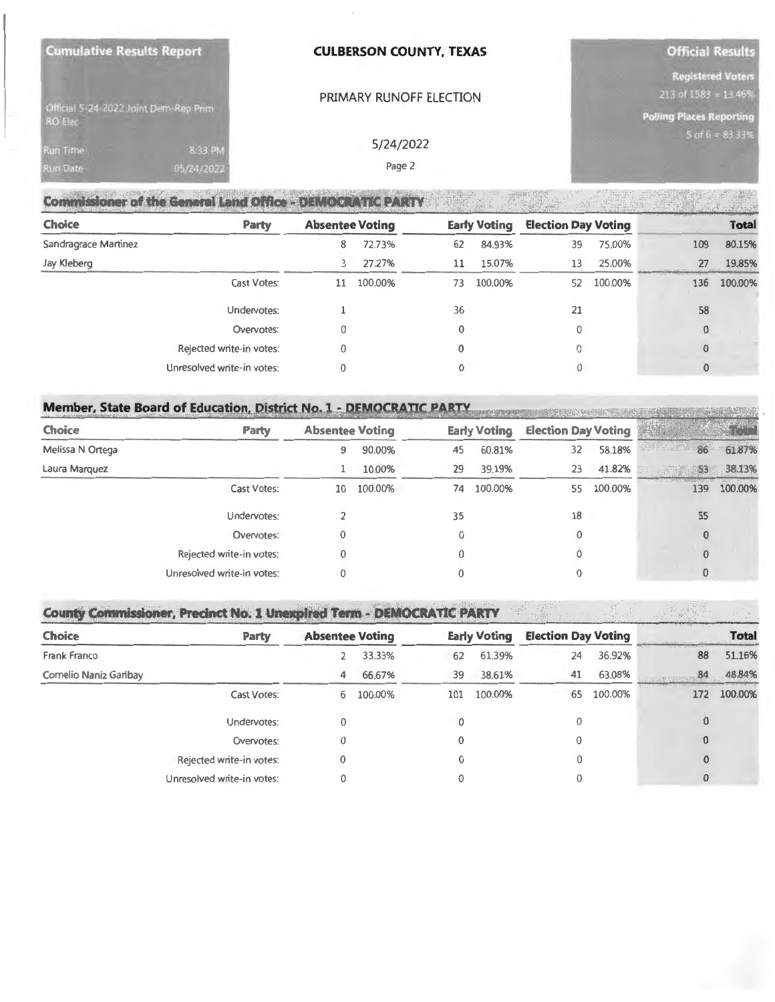| <b>Cumulative Results Report</b>                 | <b>CULBERSON COUNTY, TEXAS</b> | <b>Official Results</b>                               |
|--------------------------------------------------|--------------------------------|-------------------------------------------------------|
|                                                  | PRIMARY RUNOFF ELECTION        | <b>Registered Voters</b><br>$213$ of $1583 = 13.46\%$ |
| Official 5-24-2022 Joint Dem-Rep Prim<br>RO Elec |                                | <b>Polling Places Reporting</b>                       |
| <b>Run Time</b><br>8:33 PM                       | 5/24/2022                      | $5$ of $6 = 83.33\%$                                  |
| 05/24/2022<br><b>Run Date</b>                    | Page 2                         |                                                       |

| <b>Choice</b>        | <b>Party</b>               | <b>Absentee Voting</b> |         |          | <b>Early Voting</b> | <b>Election Day Voting</b> |         |          | <b>Total</b> |
|----------------------|----------------------------|------------------------|---------|----------|---------------------|----------------------------|---------|----------|--------------|
| Sandragrace Martinez |                            | 8                      | 72.73%  | 62       | 84.93%              | 39                         | 75.00%  | 109      | 80.15%       |
| Jay Kleberg          |                            | 3                      | 27.27%  | 11       | 15.07%              | 13                         | 25.00%  | 27       | 19.85%       |
|                      | Cast Votes:                | 11                     | 100.00% | 73       | 100.00%             | 52                         | 100.00% | 136      | 100.00%      |
|                      | Undervotes:                |                        |         | 36       |                     | 21                         |         | 58       |              |
|                      | Overvotes:                 | 0                      |         | 0        |                     | 0                          |         | $\bf{0}$ |              |
|                      | Rejected write-in votes:   |                        |         | $\Omega$ |                     | 0                          |         |          |              |
|                      | Unresolved write-in votes: |                        |         | 0        |                     | 0                          |         |          |              |

| <b>Choice</b><br><b>Party</b> | <b>Absentee Voting</b> |         |    | <b>Early Voting</b> | <b>Election Day Voting</b> |         |     |         |
|-------------------------------|------------------------|---------|----|---------------------|----------------------------|---------|-----|---------|
| Melissa N Ortega              | 9                      | 90.00%  | 45 | 60.81%              | 32                         | 58.18%  | 86  | 61.87%  |
| Laura Marquez                 |                        | 10.00%  | 29 | 39.19%              | 23                         | 41.82%  | 53  | 38.13%  |
| Cast Votes:                   | 10                     | 100.00% | 74 | 100.00%             | 55                         | 100.00% | 139 | 100.00% |
| Undervotes:                   |                        |         | 35 |                     | 18                         |         | 55  |         |
| Overvotes:                    | 0                      |         | 0  |                     | 0                          |         |     |         |
| Rejected write-in votes:      |                        |         |    |                     | 0                          |         |     |         |
| Unresolved write-in votes:    |                        |         |    |                     |                            |         |     |         |

# **County Commissioner, Precinct No. 1 Unexpired Term - DEMOCRATIC PARTY**

| <b>Choice</b>          | <b>Party</b>               | <b>Absentee Voting</b> |         |     | <b>Early Voting</b> | <b>Election Day Voting</b> |         | <b><i><u>CONTACT CONTACT CONTACT CONTACT CONTACT CONTACT CONTACT CONTACT CONTACT CONTACT CONTACT CONTACT CONTACT CONTACT</u></i></b> | <b>Total</b> |
|------------------------|----------------------------|------------------------|---------|-----|---------------------|----------------------------|---------|--------------------------------------------------------------------------------------------------------------------------------------|--------------|
| Frank Franco           |                            |                        | 33.33%  | 62  | 61.39%              | 24                         | 36.92%  | 88                                                                                                                                   | 51.16%       |
| Cornelio Naniz Garibay |                            | 4                      | 66.67%  | 39  | 38.61%              | 41                         | 63.08%  | 84                                                                                                                                   | 48.84%       |
|                        | Cast Votes:                | 6                      | 100.00% | 101 | 100.00%             | 65                         | 100.00% | 172                                                                                                                                  | 100.00%      |
|                        | Undervotes:                | 0                      |         |     |                     | 0                          |         | 0                                                                                                                                    |              |
|                        | Overvotes:                 | 0                      |         | 0   |                     | 0                          |         | $\bf{0}$                                                                                                                             |              |
|                        | Rejected write-in votes:   | 0                      |         | 0   |                     | 0                          |         |                                                                                                                                      |              |
|                        | Unresolved write-in votes: | 0                      |         |     |                     |                            |         | ₩                                                                                                                                    |              |

**SPACE**